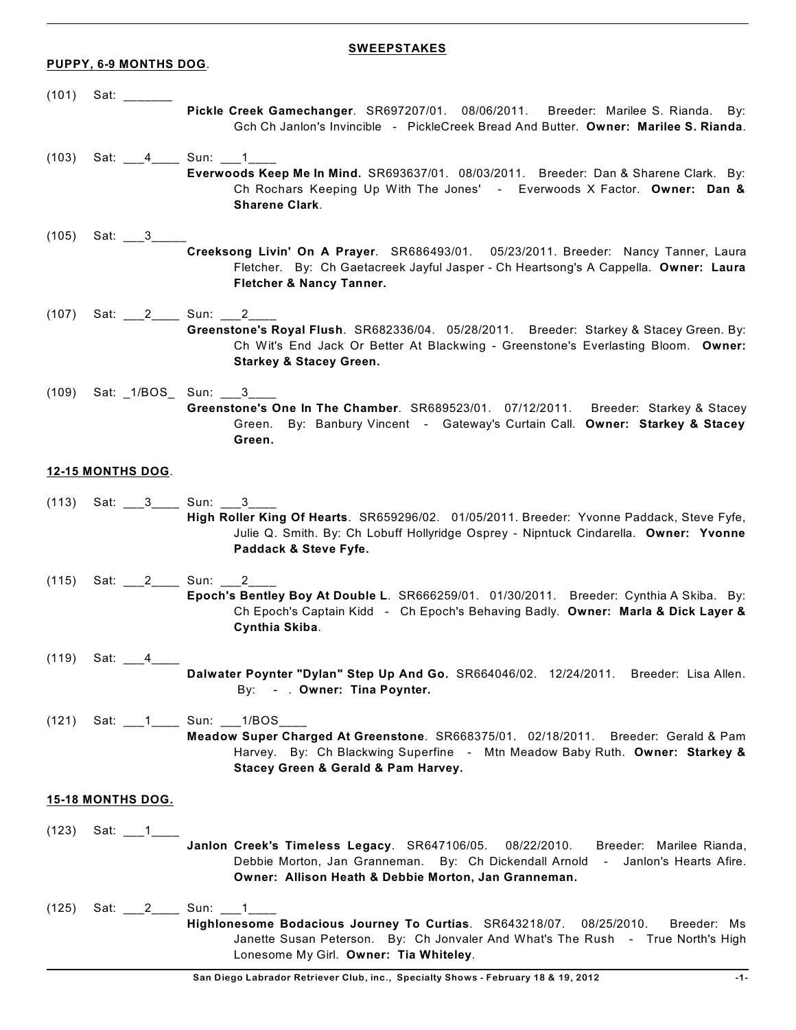## **PUPPY, 6-9 MONTHS DOG**.

## **SWEEPSTAKES**

| (101) | Sat:                     | Pickle Creek Gamechanger. SR697207/01. 08/06/2011.<br>Breeder: Marilee S. Rianda. By:<br>Gch Ch Janlon's Invincible - PickleCreek Bread And Butter. Owner: Marilee S. Rianda.                                                                 |
|-------|--------------------------|-----------------------------------------------------------------------------------------------------------------------------------------------------------------------------------------------------------------------------------------------|
| (103) | Sat: 4                   | Sun: $\_1$<br>Everwoods Keep Me In Mind. SR693637/01. 08/03/2011. Breeder: Dan & Sharene Clark. By:<br>Ch Rochars Keeping Up With The Jones' - Everwoods X Factor. Owner: Dan &<br><b>Sharene Clark.</b>                                      |
| (105) | Sat: 3                   | Creeksong Livin' On A Prayer. SR686493/01. 05/23/2011. Breeder: Nancy Tanner, Laura<br>Fletcher. By: Ch Gaetacreek Jayful Jasper - Ch Heartsong's A Cappella. Owner: Laura<br>Fletcher & Nancy Tanner.                                        |
| (107) | Sat: 2                   | Sun: $2$<br>Greenstone's Royal Flush. SR682336/04. 05/28/2011. Breeder: Starkey & Stacey Green. By:<br>Ch Wit's End Jack Or Better At Blackwing - Greenstone's Everlasting Bloom. Owner:<br><b>Starkey &amp; Stacey Green.</b>                |
| (109) |                          | Sat: 1/BOS Sun: 3<br>Greenstone's One In The Chamber. SR689523/01. 07/12/2011.<br>Breeder: Starkey & Stacey<br>Green. By: Banbury Vincent - Gateway's Curtain Call. Owner: Starkey & Stacey<br>Green.                                         |
|       | 12-15 MONTHS DOG.        |                                                                                                                                                                                                                                               |
| (113) | Sat: 3                   | Sun: 3<br>High Roller King Of Hearts. SR659296/02. 01/05/2011. Breeder: Yvonne Paddack, Steve Fyfe,<br>Julie Q. Smith. By: Ch Lobuff Hollyridge Osprey - Nipntuck Cindarella. Owner: Yvonne<br>Paddack & Steve Fyfe.                          |
| (115) | Sat: 2 Sun:              | 2<br>Epoch's Bentley Boy At Double L. SR666259/01. 01/30/2011. Breeder: Cynthia A Skiba. By:<br>Ch Epoch's Captain Kidd - Ch Epoch's Behaving Badly. Owner: Marla & Dick Layer &<br>Cynthia Skiba.                                            |
| (119) | Sat:<br>4                | Dalwater Poynter "Dylan" Step Up And Go. SR664046/02. 12/24/2011. Breeder: Lisa Allen.<br>By: - . Owner: Tina Poynter.                                                                                                                        |
| (121) |                          | Sat: 1_______ Sun: ____1/BOS_____<br>Meadow Super Charged At Greenstone. SR668375/01. 02/18/2011. Breeder: Gerald & Pam<br>Harvey. By: Ch Blackwing Superfine - Mtn Meadow Baby Ruth. Owner: Starkey &<br>Stacey Green & Gerald & Pam Harvey. |
|       | <b>15-18 MONTHS DOG.</b> |                                                                                                                                                                                                                                               |
| (123) | Sat: $\_1$               | Janlon Creek's Timeless Legacy. SR647106/05.<br>Breeder: Marilee Rianda,<br>08/22/2010.<br>Debbie Morton, Jan Granneman. By: Ch Dickendall Arnold - Janlon's Hearts Afire.<br>Owner: Allison Heath & Debbie Morton, Jan Granneman.            |
| (125) | Sat: 2                   | Sun: 1<br>Highlonesome Bodacious Journey To Curtias. SR643218/07. 08/25/2010.<br>Breeder: Ms<br>Janette Susan Peterson. By: Ch Jonvaler And What's The Rush - True North's High<br>Lonesome My Girl. Owner: Tia Whiteley.                     |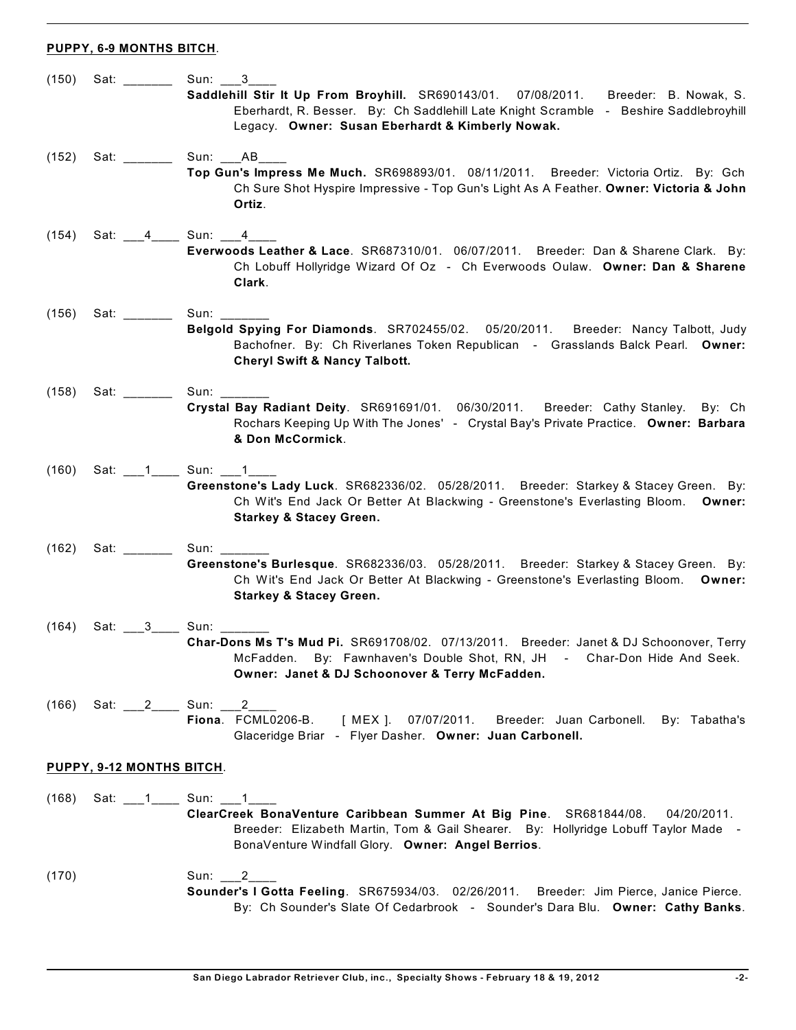## **PUPPY, 6-9 MONTHS BITCH**.

| (150)                     | Sat: $\frac{1}{\sqrt{1-\frac{1}{2}}\cdot\frac{1}{\sqrt{1-\frac{1}{2}}}}$                                                                                                                                                       | Sun: $3$<br>Saddlehill Stir It Up From Broyhill. SR690143/01. 07/08/2011. Breeder: B. Nowak, S.<br>Eberhardt, R. Besser. By: Ch Saddlehill Late Knight Scramble - Beshire Saddlebroyhill<br>Legacy. Owner: Susan Eberhardt & Kimberly Nowak.           |
|---------------------------|--------------------------------------------------------------------------------------------------------------------------------------------------------------------------------------------------------------------------------|--------------------------------------------------------------------------------------------------------------------------------------------------------------------------------------------------------------------------------------------------------|
| (152)                     | Sat: _______                                                                                                                                                                                                                   | Sun: AB<br>Top Gun's Impress Me Much. SR698893/01. 08/11/2011. Breeder: Victoria Ortiz. By: Gch<br>Ch Sure Shot Hyspire Impressive - Top Gun's Light As A Feather. Owner: Victoria & John<br>Ortiz.                                                    |
| (154)                     | Sat: 4 Sun: 4                                                                                                                                                                                                                  | Everwoods Leather & Lace. SR687310/01. 06/07/2011. Breeder: Dan & Sharene Clark. By:<br>Ch Lobuff Hollyridge Wizard Of Oz - Ch Everwoods Oulaw. Owner: Dan & Sharene<br>Clark.                                                                         |
| (156)                     | Sat: with the set of the set of the set of the set of the set of the set of the set of the set of the set of the set of the set of the set of the set of the set of the set of the set of the set of the set of the set of the | Sun: $\frac{1}{2}$<br>Belgold Spying For Diamonds. SR702455/02. 05/20/2011. Breeder: Nancy Talbott, Judy<br>Bachofner. By: Ch Riverlanes Token Republican - Grasslands Balck Pearl. Owner:<br><b>Cheryl Swift &amp; Nancy Talbott.</b>                 |
| (158)                     | Sat: will be a set of the set of the set of the set of the set of the set of the set of the set of the set of the set of the set of the set of the set of the set of the set of the set of the set of the set of the set of th | Sun: Sun: Sun<br>Crystal Bay Radiant Deity. SR691691/01. 06/30/2011. Breeder: Cathy Stanley. By: Ch<br>Rochars Keeping Up With The Jones' - Crystal Bay's Private Practice. Owner: Barbara<br>& Don McCormick.                                         |
| (160)                     |                                                                                                                                                                                                                                | Sat: 1 Sun: 1<br>Greenstone's Lady Luck. SR682336/02. 05/28/2011. Breeder: Starkey & Stacey Green. By:<br>Ch Wit's End Jack Or Better At Blackwing - Greenstone's Everlasting Bloom. Owner:<br><b>Starkey &amp; Stacey Green.</b>                      |
| (162)                     | Sat: will be a set of the set of the set of the set of the set of the set of the set of the set of the set of the set of the set of the set of the set of the set of the set of the set of the set of the set of the set of th | Sun: <b>Sun</b> : <b>Sun: 1999</b><br>Greenstone's Burlesque. SR682336/03. 05/28/2011. Breeder: Starkey & Stacey Green. By:<br>Ch Wit's End Jack Or Better At Blackwing - Greenstone's Everlasting Bloom. Owner:<br><b>Starkey &amp; Stacey Green.</b> |
| (164)                     | Sat: 3                                                                                                                                                                                                                         | Sun: Sun<br>Char-Dons Ms T's Mud Pi. SR691708/02. 07/13/2011. Breeder: Janet & DJ Schoonover, Terry<br>McFadden. By: Fawnhaven's Double Shot, RN, JH - Char-Don Hide And Seek.<br>Owner: Janet & DJ Schoonover & Terry McFadden.                       |
| (166)                     | Sat: $\frac{2}{1}$                                                                                                                                                                                                             | Sun:<br>2<br>Fiona. FCML0206-B.<br>[ MEX ].  07/07/2011.<br>Breeder: Juan Carbonell. By: Tabatha's<br>Glaceridge Briar - Flyer Dasher. Owner: Juan Carbonell.                                                                                          |
| PUPPY, 9-12 MONTHS BITCH. |                                                                                                                                                                                                                                |                                                                                                                                                                                                                                                        |
| (168)                     | Sat: 1 _______ Sun: 1                                                                                                                                                                                                          | ClearCreek BonaVenture Caribbean Summer At Big Pine. SR681844/08.<br>04/20/2011.<br>Breeder: Elizabeth Martin, Tom & Gail Shearer. By: Hollyridge Lobuff Taylor Made -<br>BonaVenture Windfall Glory. Owner: Angel Berrios.                            |
| (170)                     |                                                                                                                                                                                                                                | Sun:<br>2<br>Sounder's I Gotta Feeling. SR675934/03. 02/26/2011. Breeder: Jim Pierce, Janice Pierce.<br>By: Ch Sounder's Slate Of Cedarbrook - Sounder's Dara Blu. Owner: Cathy Banks.                                                                 |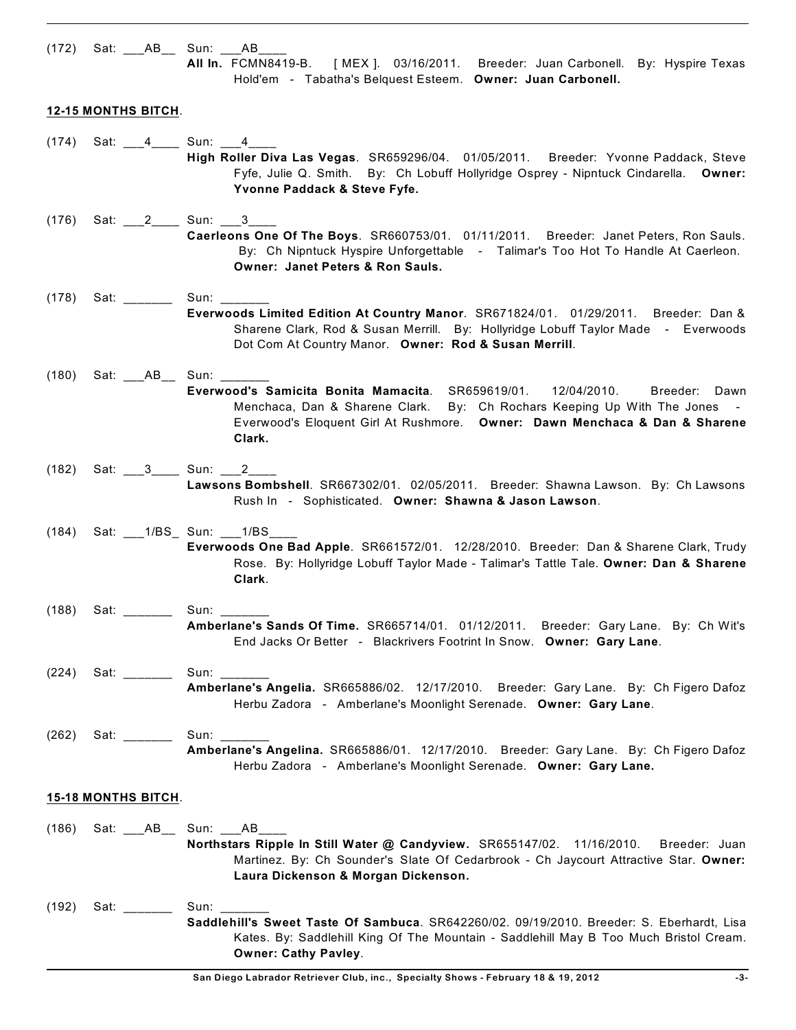|       |                                                                                                                                                                                                                                | (172) Sat: ___AB__ Sun: ___AB_<br>All In. FCMN8419-B. [MEX]. 03/16/2011. Breeder: Juan Carbonell. By: Hyspire Texas<br>Hold'em - Tabatha's Belquest Esteem. Owner: Juan Carbonell.                                                                                               |
|-------|--------------------------------------------------------------------------------------------------------------------------------------------------------------------------------------------------------------------------------|----------------------------------------------------------------------------------------------------------------------------------------------------------------------------------------------------------------------------------------------------------------------------------|
|       | <b>12-15 MONTHS BITCH.</b>                                                                                                                                                                                                     |                                                                                                                                                                                                                                                                                  |
| (174) |                                                                                                                                                                                                                                | Sat: 4______ Sun: 1_____ 4______<br>High Roller Diva Las Vegas. SR659296/04. 01/05/2011. Breeder: Yvonne Paddack, Steve<br>Fyfe, Julie Q. Smith. By: Ch Lobuff Hollyridge Osprey - Nipntuck Cindarella. Owner:<br>Yvonne Paddack & Steve Fyfe.                                   |
| (176) |                                                                                                                                                                                                                                | Sat: 2 Sun: 3<br>Caerleons One Of The Boys. SR660753/01. 01/11/2011. Breeder: Janet Peters, Ron Sauls.<br>By: Ch Nipntuck Hyspire Unforgettable - Talimar's Too Hot To Handle At Caerleon.<br>Owner: Janet Peters & Ron Sauls.                                                   |
| (178) | Sat: _______                                                                                                                                                                                                                   | Everwoods Limited Edition At Country Manor. SR671824/01. 01/29/2011. Breeder: Dan &<br>Sharene Clark, Rod & Susan Merrill. By: Hollyridge Lobuff Taylor Made - Everwoods<br>Dot Com At Country Manor. Owner: Rod & Susan Merrill.                                                |
| (180) |                                                                                                                                                                                                                                | Sat: ____AB___ Sun: _____<br>Everwood's Samicita Bonita Mamacita. SR659619/01. 12/04/2010.<br>Breeder: Dawn<br>Menchaca, Dan & Sharene Clark. By: Ch Rochars Keeping Up With The Jones -<br>Everwood's Eloquent Girl At Rushmore. Owner: Dawn Menchaca & Dan & Sharene<br>Clark. |
| (182) |                                                                                                                                                                                                                                | Sat: ___3____ Sun: ___2____<br>Lawsons Bombshell. SR667302/01. 02/05/2011. Breeder: Shawna Lawson. By: Ch Lawsons<br>Rush In - Sophisticated. Owner: Shawna & Jason Lawson.                                                                                                      |
| (184) |                                                                                                                                                                                                                                | Sat: ___1/BS_ Sun: ___1/BS_<br>Everwoods One Bad Apple. SR661572/01. 12/28/2010. Breeder: Dan & Sharene Clark, Trudy<br>Rose. By: Hollyridge Lobuff Taylor Made - Talimar's Tattle Tale. Owner: Dan & Sharene<br>Clark.                                                          |
| (188) | Sat: ________                                                                                                                                                                                                                  | Sun: $\frac{1}{\sqrt{1-\frac{1}{2}}\cdot\frac{1}{2}}$<br>Amberlane's Sands Of Time. SR665714/01. 01/12/2011. Breeder: Gary Lane. By: Ch Wit's<br>End Jacks Or Better - Blackrivers Footrint In Snow. Owner: Gary Lane.                                                           |
| (224) | Sat: will be a set of the set of the set of the set of the set of the set of the set of the set of the set of the set of the set of the set of the set of the set of the set of the set of the set of the set of the set of th | Amberlane's Angelia. SR665886/02. 12/17/2010. Breeder: Gary Lane. By: Ch Figero Dafoz<br>Herbu Zadora - Amberlane's Moonlight Serenade. Owner: Gary Lane.                                                                                                                        |
| (262) | Sat: _______                                                                                                                                                                                                                   | Sun:<br>Amberlane's Angelina. SR665886/01. 12/17/2010. Breeder: Gary Lane. By: Ch Figero Dafoz<br>Herbu Zadora - Amberlane's Moonlight Serenade. Owner: Gary Lane.                                                                                                               |
|       | <b>15-18 MONTHS BITCH.</b>                                                                                                                                                                                                     |                                                                                                                                                                                                                                                                                  |
| (186) |                                                                                                                                                                                                                                | Sat: _____ AB_____ Sun: _____ AB_<br>Northstars Ripple In Still Water @ Candyview. SR655147/02. 11/16/2010.<br>Breeder: Juan<br>Martinez. By: Ch Sounder's Slate Of Cedarbrook - Ch Jaycourt Attractive Star. Owner:<br>Laura Dickenson & Morgan Dickenson.                      |
| (192) | Sat: $\frac{1}{2}$                                                                                                                                                                                                             | Sun: Sun: Sun<br>Saddlehill's Sweet Taste Of Sambuca. SR642260/02. 09/19/2010. Breeder: S. Eberhardt, Lisa<br>Kates. By: Saddlehill King Of The Mountain - Saddlehill May B Too Much Bristol Cream.<br><b>Owner: Cathy Pavley.</b>                                               |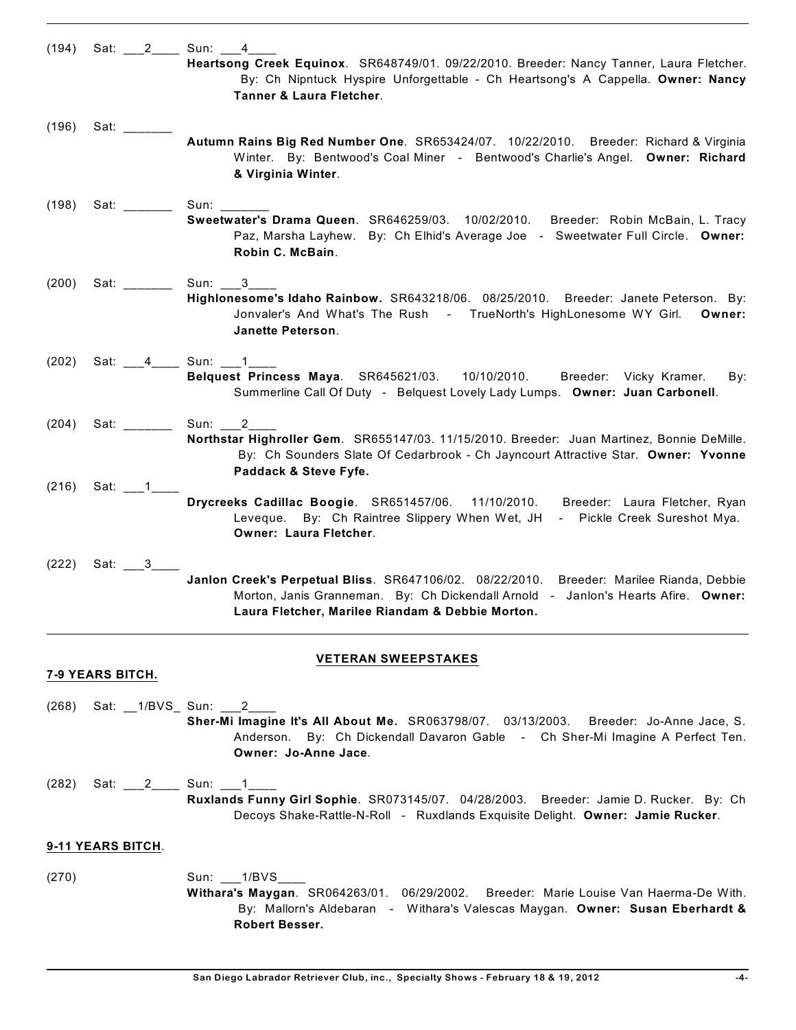| (194) |                                                                                                                                                                                                                                | Sat: 2 Sun: 4                                                                                                                                                                                           |
|-------|--------------------------------------------------------------------------------------------------------------------------------------------------------------------------------------------------------------------------------|---------------------------------------------------------------------------------------------------------------------------------------------------------------------------------------------------------|
|       |                                                                                                                                                                                                                                | Heartsong Creek Equinox. SR648749/01. 09/22/2010. Breeder: Nancy Tanner, Laura Fletcher.<br>By: Ch Nipntuck Hyspire Unforgettable - Ch Heartsong's A Cappella. Owner: Nancy<br>Tanner & Laura Fletcher. |
| (196) | Sat: ____                                                                                                                                                                                                                      | Autumn Rains Big Red Number One. SR653424/07. 10/22/2010. Breeder: Richard & Virginia                                                                                                                   |
|       |                                                                                                                                                                                                                                | Winter. By: Bentwood's Coal Miner - Bentwood's Charlie's Angel. Owner: Richard<br>& Virginia Winter.                                                                                                    |
| (198) | Sat: with the set of the set of the set of the set of the set of the set of the set of the set of the set of the set of the set of the set of the set of the set of the set of the set of the set of the set of the set of the | Sun:<br>Sweetwater's Drama Queen. SR646259/03. 10/02/2010. Breeder: Robin McBain, L. Tracy                                                                                                              |
|       |                                                                                                                                                                                                                                | Paz, Marsha Layhew. By: Ch Elhid's Average Joe - Sweetwater Full Circle. Owner:<br>Robin C. McBain.                                                                                                     |
| (200) | Sat: with the same of the same of the same of the same of the same of the same of the same of the same of the same of the same of the same of the same of the same of the same of the same of the same of the same of the same | Sun: $3$<br>Highlonesome's Idaho Rainbow. SR643218/06. 08/25/2010. Breeder: Janete Peterson. By:                                                                                                        |
|       |                                                                                                                                                                                                                                | Jonvaler's And What's The Rush - TrueNorth's HighLonesome WY Girl.<br>Owner:<br><b>Janette Peterson.</b>                                                                                                |
| (202) |                                                                                                                                                                                                                                | Sat: 4 Sun: 1<br>Belquest Princess Maya. SR645621/03. 10/10/2010. Breeder: Vicky Kramer.<br>By:                                                                                                         |
|       |                                                                                                                                                                                                                                | Summerline Call Of Duty - Belquest Lovely Lady Lumps. Owner: Juan Carbonell.                                                                                                                            |
| (204) | Sat: where the state of the state of the state of the state of the state of the state of the state of the state of the state of the state of the state of the state of the state of the state of the state of the state of the | Sun: 2<br>Northstar Highroller Gem. SR655147/03. 11/15/2010. Breeder: Juan Martinez, Bonnie DeMille.                                                                                                    |
|       |                                                                                                                                                                                                                                | By: Ch Sounders Slate Of Cedarbrook - Ch Jayncourt Attractive Star. Owner: Yvonne<br>Paddack & Steve Fyfe.                                                                                              |
| (216) | Sat: 1                                                                                                                                                                                                                         | Drycreeks Cadillac Boogie. SR651457/06. 11/10/2010. Breeder: Laura Fletcher, Ryan                                                                                                                       |
|       |                                                                                                                                                                                                                                | Leveque. By: Ch Raintree Slippery When Wet, JH - Pickle Creek Sureshot Mya.<br><b>Owner: Laura Fletcher.</b>                                                                                            |
| (222) | Sat: 3                                                                                                                                                                                                                         | Janlon Creek's Perpetual Bliss. SR647106/02. 08/22/2010. Breeder: Marilee Rianda, Debbie                                                                                                                |
|       |                                                                                                                                                                                                                                | Morton, Janis Granneman. By: Ch Dickendall Arnold - Janlon's Hearts Afire. Owner:<br>Laura Fletcher, Marilee Riandam & Debbie Morton.                                                                   |
|       |                                                                                                                                                                                                                                | <b>VETERAN SWEEPSTAKES</b>                                                                                                                                                                              |
|       | 7-9 YEARS BITCH.                                                                                                                                                                                                               |                                                                                                                                                                                                         |

### (268) Sat: \_\_1/BVS\_ Sun: \_\_\_2\_\_\_\_ **Sher-Mi Imagine It's All About Me.** SR063798/07. 03/13/2003. Breeder: Jo-Anne Jace, S. Anderson. By: Ch Dickendall Davaron Gable - Ch Sher-Mi Imagine A Perfect Ten. **Owner: Jo-Anne Jace**.

(282) Sat: \_\_\_2\_\_\_\_ Sun: \_\_\_1\_\_\_\_ **Ruxlands Funny Girl Sophie**. SR073145/07. 04/28/2003. Breeder: Jamie D. Rucker. By: Ch Decoys Shake-Rattle-N-Roll - Ruxdlands Exquisite Delight. **Owner: Jamie Rucker**.

## **9-11 YEARS BITCH**.

(270) Sun: \_\_\_1/BVS\_\_\_\_ **Withara's Maygan**. SR064263/01. 06/29/2002. Breeder: Marie Louise Van Haerma-De With. By: Mallorn's Aldebaran - Withara's Valescas Maygan. **Owner: Susan Eberhardt & Robert Besser.**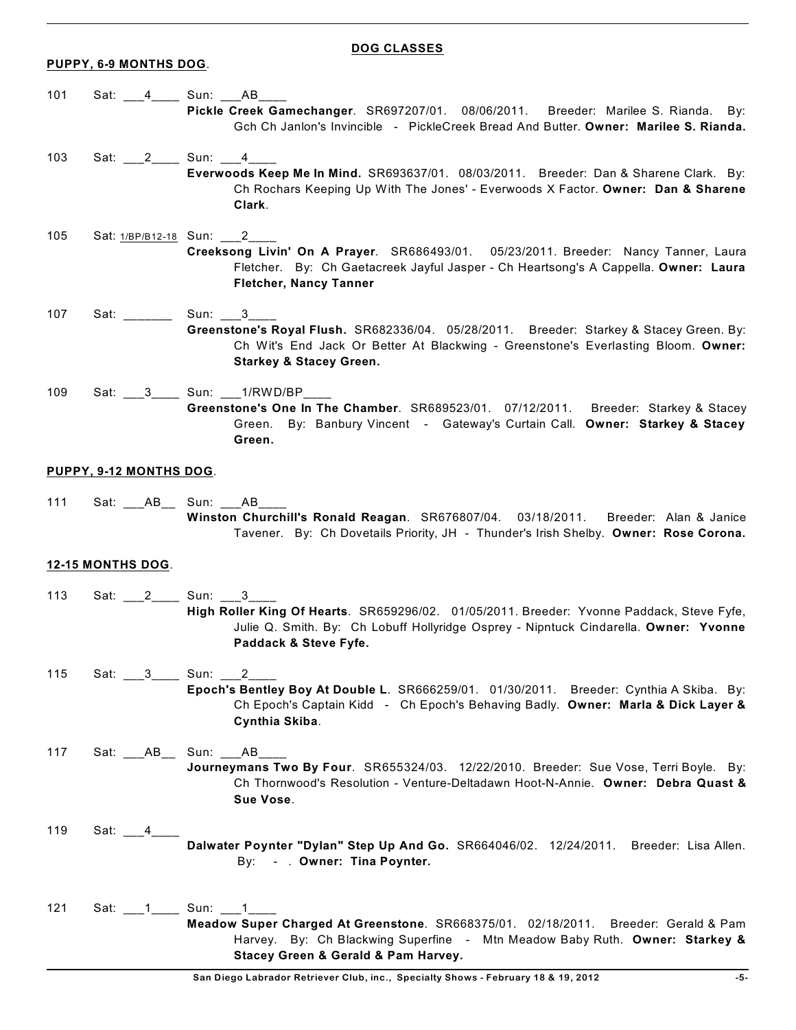#### **PUPPY, 6-9 MONTHS DOG**.

#### **DOG CLASSES**

- 101 Sat: 4 Sun: AB **Pickle Creek Gamechanger**. SR697207/01. 08/06/2011. Breeder: Marilee S. Rianda. By: Gch Ch Janlon's Invincible - PickleCreek Bread And Butter. **Owner: Marilee S. Rianda.**
- 103 Sat: 2\_\_\_\_\_ Sun: 103 **Everwoods Keep Me In Mind.** SR693637/01. 08/03/2011. Breeder: Dan & Sharene Clark. By: Ch Rochars Keeping Up With The Jones' - Everwoods X Factor. **Owner: Dan & Sharene Clark**.
- 105 Sat:  $1/BP/B12-18$  Sun: 2 **Creeksong Livin' On A Prayer**. SR686493/01. 05/23/2011. Breeder: Nancy Tanner, Laura Fletcher. By: Ch Gaetacreek Jayful Jasper - Ch Heartsong's A Cappella. **Owner: Laura Fletcher, Nancy Tanner**
- 107 Sat: \_\_\_\_\_\_\_\_ Sun: \_\_\_3\_ **Greenstone's Royal Flush.** SR682336/04. 05/28/2011. Breeder: Starkey & Stacey Green. By: Ch Wit's End Jack Or Better At Blackwing - Greenstone's Everlasting Bloom. **Owner: Starkey & Stacey Green.**
- 109 Sat: \_\_\_3\_\_\_\_ Sun: \_\_\_1/RWD/BP\_ **Greenstone's One In The Chamber**. SR689523/01. 07/12/2011. Breeder: Starkey & Stacey Green. By: Banbury Vincent - Gateway's Curtain Call. **Owner: Starkey & Stacey Green.**

#### **PUPPY, 9-12 MONTHS DOG**.

111 Sat: \_\_\_\_AB\_\_\_\_ Sun: \_\_\_\_AB\_\_\_ **Winston Churchill's Ronald Reagan**. SR676807/04. 03/18/2011. Breeder: Alan & Janice Tavener. By: Ch Dovetails Priority, JH - Thunder's Irish Shelby. **Owner: Rose Corona.**

### **12-15 MONTHS DOG**.

- 113 Sat: 2\_\_\_\_\_ Sun: 3\_\_\_ **High Roller King Of Hearts**. SR659296/02. 01/05/2011. Breeder: Yvonne Paddack, Steve Fyfe, Julie Q. Smith. By: Ch Lobuff Hollyridge Osprey - Nipntuck Cindarella. **Owner: Yvonne Paddack & Steve Fyfe.**
- 115 Sat: 3 Sun: 2 **Epoch's Bentley Boy At Double L**. SR666259/01. 01/30/2011. Breeder: Cynthia A Skiba. By: Ch Epoch's Captain Kidd - Ch Epoch's Behaving Badly. **Owner: Marla & Dick Layer & Cynthia Skiba**.
- 117 Sat: \_\_\_AB\_\_ Sun: \_\_\_AB\_\_\_\_ **Journeymans Two By Four**. SR655324/03. 12/22/2010. Breeder: Sue Vose, Terri Boyle. By: Ch Thornwood's Resolution - Venture-Deltadawn Hoot-N-Annie. **Owner: Debra Quast & Sue Vose**.
- 119 Sat:  $-4$  **Dalwater Poynter "Dylan" Step Up And Go.** SR664046/02. 12/24/2011. Breeder: Lisa Allen. By: - . **Owner: Tina Poynter.**
- 121 Sat: 11 Sun: 1 **Meadow Super Charged At Greenstone**. SR668375/01. 02/18/2011. Breeder: Gerald & Pam Harvey. By: Ch Blackwing Superfine - Mtn Meadow Baby Ruth. **Owner: Starkey & Stacey Green & Gerald & Pam Harvey.**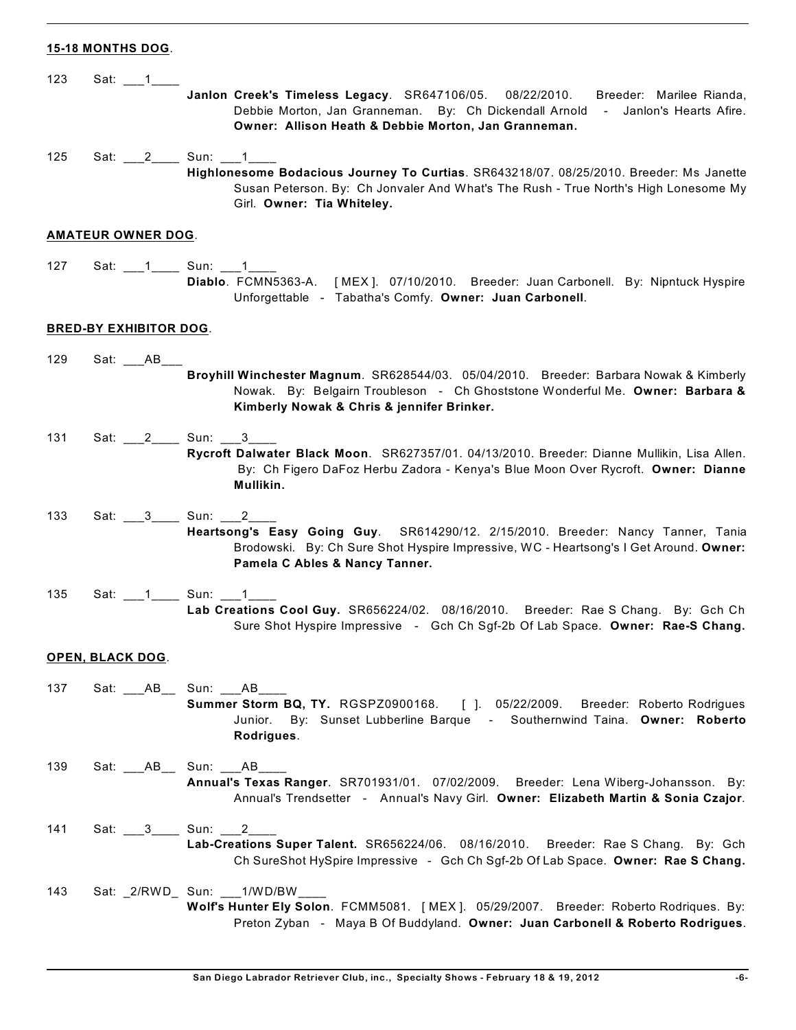## **15-18 MONTHS DOG**.

| 123 | Sat: $\_1$                    | Janlon Creek's Timeless Legacy. SR647106/05. 08/22/2010.<br>Breeder: Marilee Rianda,<br>Debbie Morton, Jan Granneman. By: Ch Dickendall Arnold - Janlon's Hearts Afire.<br>Owner: Allison Heath & Debbie Morton, Jan Granneman. |
|-----|-------------------------------|---------------------------------------------------------------------------------------------------------------------------------------------------------------------------------------------------------------------------------|
| 125 | Sat: 2 Sun: 1                 | Highlonesome Bodacious Journey To Curtias. SR643218/07. 08/25/2010. Breeder: Ms Janette<br>Susan Peterson. By: Ch Jonvaler And What's The Rush - True North's High Lonesome My<br>Girl. Owner: Tia Whiteley.                    |
|     | <b>AMATEUR OWNER DOG.</b>     |                                                                                                                                                                                                                                 |
| 127 |                               | Diablo. FCMN5363-A. [MEX]. 07/10/2010. Breeder: Juan Carbonell. By: Nipntuck Hyspire<br>Unforgettable - Tabatha's Comfy. Owner: Juan Carbonell.                                                                                 |
|     | <b>BRED-BY EXHIBITOR DOG.</b> |                                                                                                                                                                                                                                 |
| 129 | Sat: AB                       | Broyhill Winchester Magnum. SR628544/03. 05/04/2010. Breeder: Barbara Nowak & Kimberly<br>Nowak. By: Belgairn Troubleson - Ch Ghoststone Wonderful Me. Owner: Barbara &<br>Kimberly Nowak & Chris & jennifer Brinker.           |
| 131 | Sat: 2 Sun: 3                 | Rycroft Dalwater Black Moon. SR627357/01. 04/13/2010. Breeder: Dianne Mullikin, Lisa Allen.<br>By: Ch Figero DaFoz Herbu Zadora - Kenya's Blue Moon Over Rycroft. Owner: Dianne<br>Mullikin.                                    |
| 133 | Sat: 3 Sun: 2                 | Heartsong's Easy Going Guy. SR614290/12. 2/15/2010. Breeder: Nancy Tanner, Tania<br>Brodowski. By: Ch Sure Shot Hyspire Impressive, WC - Heartsong's I Get Around. Owner:<br>Pamela C Ables & Nancy Tanner.                     |
| 135 |                               | Lab Creations Cool Guy. SR656224/02. 08/16/2010. Breeder: Rae S Chang. By: Gch Ch<br>Sure Shot Hyspire Impressive - Gch Ch Sgf-2b Of Lab Space. Owner: Rae-S Chang.                                                             |
|     | <b>OPEN, BLACK DOG.</b>       |                                                                                                                                                                                                                                 |
| 137 | Sat: ____AB___ Sun: ____AB_   | Summer Storm BQ, TY. RGSPZ0900168. [ ]. 05/22/2009. Breeder: Roberto Rodrigues<br>By: Sunset Lubberline Barque - Southernwind Taina. Owner: Roberto<br>Junior.<br>Rodrigues.                                                    |
| 139 | Sat: ____AB___ Sun: ____AB_   | Annual's Texas Ranger. SR701931/01. 07/02/2009. Breeder: Lena Wiberg-Johansson. By:<br>Annual's Trendsetter - Annual's Navy Girl. Owner: Elizabeth Martin & Sonia Czajor.                                                       |
| 141 | Sat: 3 _______ Sun: 2         | Lab-Creations Super Talent. SR656224/06. 08/16/2010. Breeder: Rae S Chang. By: Gch<br>Ch SureShot HySpire Impressive - Gch Ch Sgf-2b Of Lab Space. Owner: Rae S Chang.                                                          |
| 143 |                               | Sat: _2/RWD_ Sun: ___1/WD/BW_<br>Wolf's Hunter Ely Solon. FCMM5081. [MEX]. 05/29/2007. Breeder: Roberto Rodriques. By:<br>Preton Zyban - Maya B Of Buddyland. Owner: Juan Carbonell & Roberto Rodrigues.                        |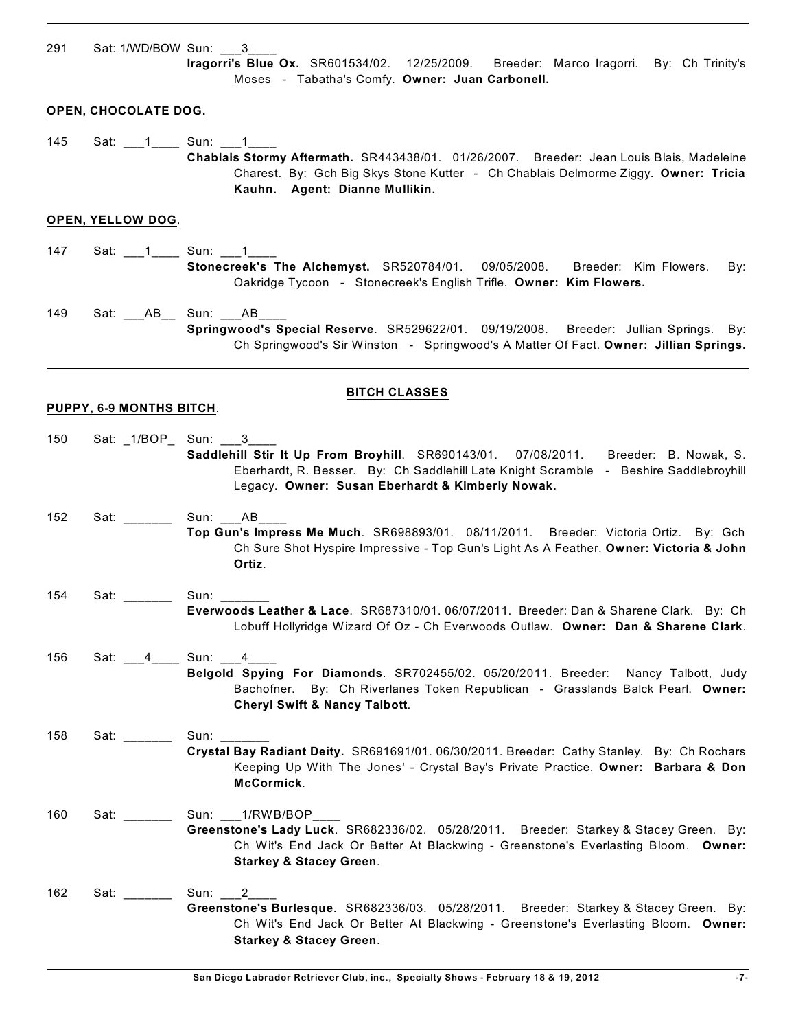291 Sat: 1/WD/BOW Sun: \_\_\_3\_ **Iragorri's Blue Ox.** SR601534/02. 12/25/2009. Breeder: Marco Iragorri. By: Ch Trinity's Moses - Tabatha's Comfy. **Owner: Juan Carbonell. OPEN, CHOCOLATE DOG.** 145 Sat: 1 \_\_\_ 1 \_\_\_\_\_ Sun: 1 \_\_\_ 1 **Chablais Stormy Aftermath.** SR443438/01. 01/26/2007. Breeder: Jean Louis Blais, Madeleine Charest. By: Gch Big Skys Stone Kutter - Ch Chablais Delmorme Ziggy. **Owner: Tricia Kauhn. Agent: Dianne Mullikin. OPEN, YELLOW DOG**. 147 Sat: 1\_\_\_1\_\_\_\_ Sun: 1\_\_1\_\_ **Stonecreek's The Alchemyst.** SR520784/01. 09/05/2008. Breeder: Kim Flowers. By: Oakridge Tycoon - Stonecreek's English Trifle. **Owner: Kim Flowers.** 149 Sat: \_\_\_AB\_\_ Sun: \_\_\_AB\_ **Springwood's Special Reserve**. SR529622/01. 09/19/2008. Breeder: Jullian Springs. By: Ch Springwood's Sir Winston - Springwood's A Matter Of Fact. **Owner: Jillian Springs. BITCH CLASSES PUPPY, 6-9 MONTHS BITCH**. 150 Sat: \_1/BOP\_ Sun: \_\_\_3\_\_\_\_ **Saddlehill Stir It Up From Broyhill**. SR690143/01. 07/08/2011. Breeder: B. Nowak, S. Eberhardt, R. Besser. By: Ch Saddlehill Late Knight Scramble - Beshire Saddlebroyhill Legacy. **Owner: Susan Eberhardt & Kimberly Nowak.** 152 Sat: \_\_\_\_\_\_\_\_ Sun: \_\_\_AB\_ **Top Gun's Impress Me Much**. SR698893/01. 08/11/2011. Breeder: Victoria Ortiz. By: Gch Ch Sure Shot Hyspire Impressive - Top Gun's Light As A Feather. **Owner: Victoria & John Ortiz**. 154 Sat: \_\_\_\_\_\_\_\_ Sun: \_ **Everwoods Leather & Lace**. SR687310/01. 06/07/2011. Breeder: Dan & Sharene Clark. By: Ch Lobuff Hollyridge Wizard Of Oz - Ch Everwoods Outlaw. **Owner: Dan & Sharene Clark**. 156 Sat: \_\_\_4\_\_\_\_ Sun: \_\_\_4\_\_ **Belgold Spying For Diamonds**. SR702455/02. 05/20/2011. Breeder: Nancy Talbott, Judy Bachofner. By: Ch Riverlanes Token Republican - Grasslands Balck Pearl. **Owner: Cheryl Swift & Nancy Talbott**. 158 Sat: \_\_\_\_\_\_\_\_ Sun: **Crystal Bay Radiant Deity.** SR691691/01. 06/30/2011. Breeder: Cathy Stanley. By: Ch Rochars Keeping Up With The Jones' - Crystal Bay's Private Practice. **Owner: Barbara & Don McCormick**. 160 Sat: \_\_\_\_\_\_\_\_\_ Sun: \_\_\_1/RWB/BOP **Greenstone's Lady Luck**. SR682336/02. 05/28/2011. Breeder: Starkey & Stacey Green. By: Ch Wit's End Jack Or Better At Blackwing - Greenstone's Everlasting Bloom. **Owner: Starkey & Stacey Green**. 162 Sat: \_\_\_\_\_\_\_\_ Sun: 2 **Greenstone's Burlesque**. SR682336/03. 05/28/2011. Breeder: Starkey & Stacey Green. By: Ch Wit's End Jack Or Better At Blackwing - Greenstone's Everlasting Bloom. **Owner:**

**Starkey & Stacey Green**.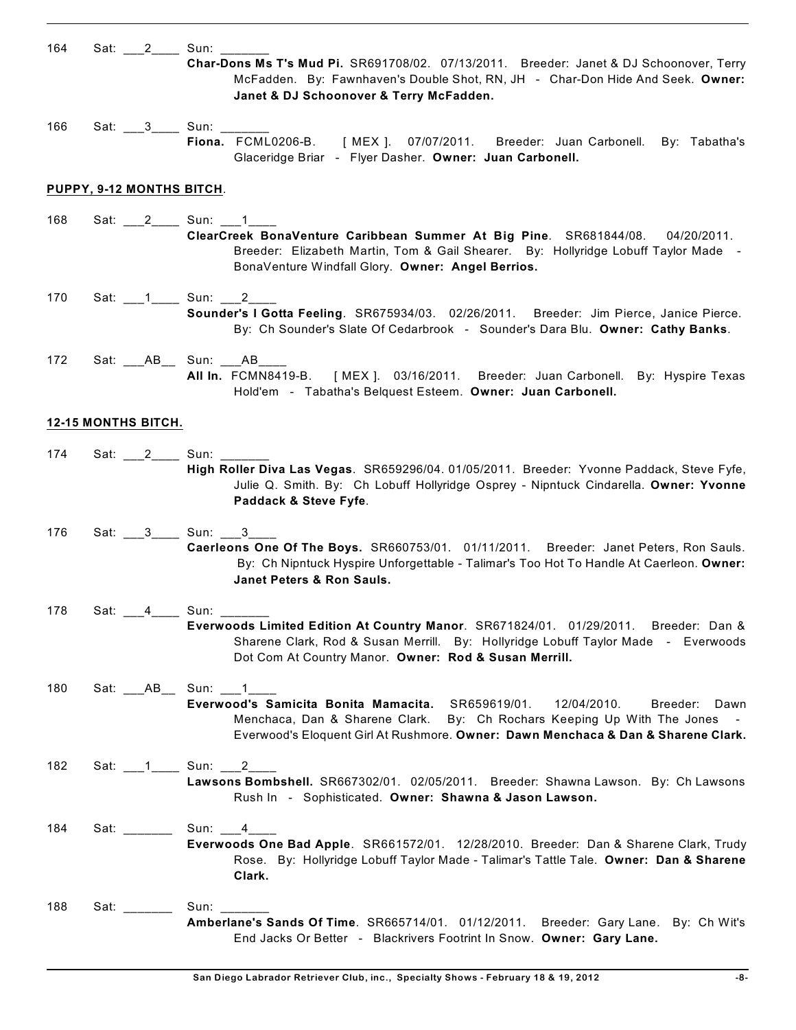| 164 |                                                                          | Sat: 2 Sun:                                                                                                                                                                                                                                                                               |
|-----|--------------------------------------------------------------------------|-------------------------------------------------------------------------------------------------------------------------------------------------------------------------------------------------------------------------------------------------------------------------------------------|
|     |                                                                          | Char-Dons Ms T's Mud Pi. SR691708/02. 07/13/2011. Breeder: Janet & DJ Schoonover, Terry<br>McFadden. By: Fawnhaven's Double Shot, RN, JH - Char-Don Hide And Seek. Owner:<br>Janet & DJ Schoonover & Terry McFadden.                                                                      |
| 166 |                                                                          | Sat: 3 Sun: 3<br>Fiona. FCML0206-B. [MEX ]. 07/07/2011. Breeder: Juan Carbonell. By: Tabatha's<br>Glaceridge Briar - Flyer Dasher. Owner: Juan Carbonell.                                                                                                                                 |
|     | PUPPY, 9-12 MONTHS BITCH.                                                |                                                                                                                                                                                                                                                                                           |
| 168 |                                                                          | Sat: 2________ Sun: 1____1___<br>ClearCreek BonaVenture Caribbean Summer At Big Pine. SR681844/08. 04/20/2011.<br>Breeder: Elizabeth Martin, Tom & Gail Shearer. By: Hollyridge Lobuff Taylor Made -<br>BonaVenture Windfall Glory. Owner: Angel Berrios.                                 |
| 170 |                                                                          | Sounder's I Gotta Feeling. SR675934/03. 02/26/2011. Breeder: Jim Pierce, Janice Pierce.<br>By: Ch Sounder's Slate Of Cedarbrook - Sounder's Dara Blu. Owner: Cathy Banks.                                                                                                                 |
| 172 |                                                                          | Sat: _____ AB_____ Sun: ____ AB_____<br>All In. FCMN8419-B. [MEX ]. 03/16/2011. Breeder: Juan Carbonell. By: Hyspire Texas<br>Hold'em - Tabatha's Belquest Esteem. Owner: Juan Carbonell.                                                                                                 |
|     | <b>12-15 MONTHS BITCH.</b>                                               |                                                                                                                                                                                                                                                                                           |
| 174 |                                                                          | Sat: 2 ______ Sun: ______<br>High Roller Diva Las Vegas. SR659296/04. 01/05/2011. Breeder: Yvonne Paddack, Steve Fyfe,<br>Julie Q. Smith. By: Ch Lobuff Hollyridge Osprey - Nipntuck Cindarella. Owner: Yvonne<br>Paddack & Steve Fyfe.                                                   |
| 176 |                                                                          | Sat: ___3____ Sun: ___3_<br>Caerleons One Of The Boys. SR660753/01. 01/11/2011. Breeder: Janet Peters, Ron Sauls.<br>By: Ch Nipntuck Hyspire Unforgettable - Talimar's Too Hot To Handle At Caerleon. Owner:<br>Janet Peters & Ron Sauls.                                                 |
| 178 |                                                                          | Sat: 4 ____ Sun: ______<br>Everwoods Limited Edition At Country Manor. SR671824/01. 01/29/2011. Breeder: Dan &<br>Sharene Clark, Rod & Susan Merrill. By: Hollyridge Lobuff Taylor Made - Everwoods<br>Dot Com At Country Manor. Owner: Rod & Susan Merrill.                              |
| 180 |                                                                          | Sat: _____ AB_____ Sun: ____ 1_<br>Everwood's Samicita Bonita Mamacita. SR659619/01.<br>12/04/2010.<br>Breeder:<br>Dawn<br>Menchaca, Dan & Sharene Clark. By: Ch Rochars Keeping Up With The Jones -<br>Everwood's Eloquent Girl At Rushmore. Owner: Dawn Menchaca & Dan & Sharene Clark. |
| 182 |                                                                          | Sat: 1 Sun: 2<br>Lawsons Bombshell. SR667302/01. 02/05/2011. Breeder: Shawna Lawson. By: Ch Lawsons<br>Rush In - Sophisticated. Owner: Shawna & Jason Lawson.                                                                                                                             |
| 184 | Sat: $\frac{1}{\sqrt{1-\frac{1}{2}}\cdot\frac{1}{\sqrt{1-\frac{1}{2}}}}$ | Sun: 4<br>Everwoods One Bad Apple. SR661572/01. 12/28/2010. Breeder: Dan & Sharene Clark, Trudy<br>Rose. By: Hollyridge Lobuff Taylor Made - Talimar's Tattle Tale. Owner: Dan & Sharene<br>Clark.                                                                                        |
| 188 | Sat: $\frac{1}{2}$                                                       | Sun: $\frac{2}{\sqrt{2}}$<br>Amberlane's Sands Of Time. SR665714/01. 01/12/2011. Breeder: Gary Lane. By: Ch Wit's<br>End Jacks Or Better - Blackrivers Footrint In Snow. Owner: Gary Lane.                                                                                                |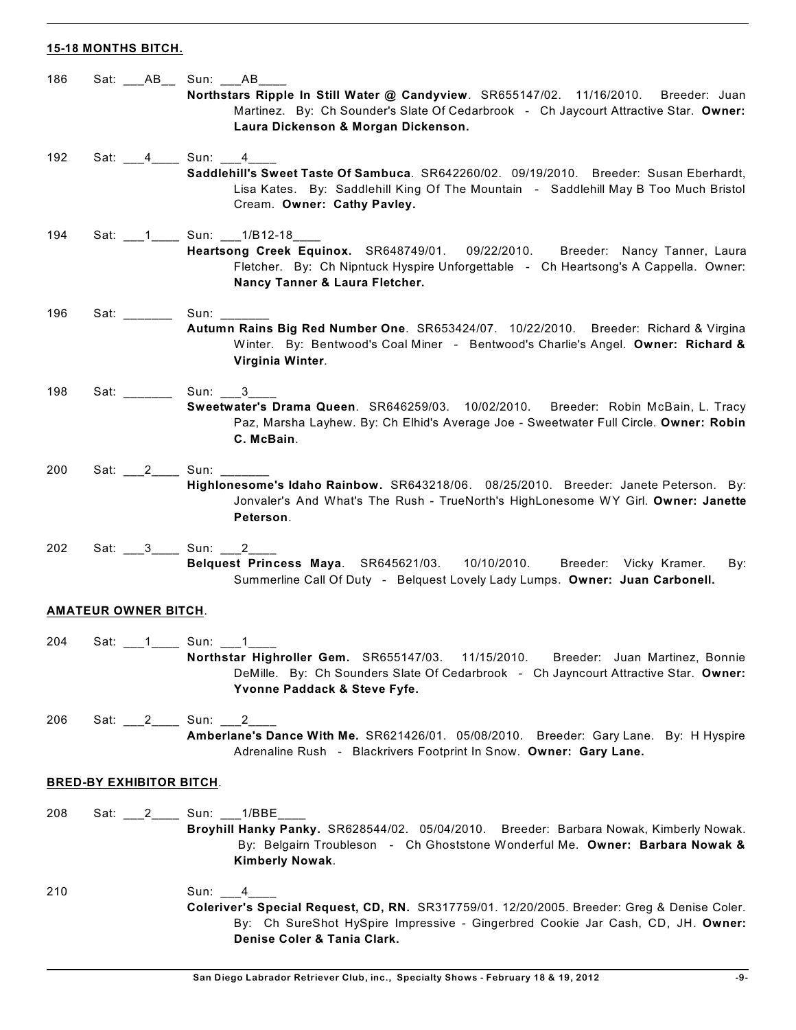## **15-18 MONTHS BITCH.**

| 186                             |                             | Sat: ___AB__ Sun: ___AB____                                                                                                                                                                                                  |
|---------------------------------|-----------------------------|------------------------------------------------------------------------------------------------------------------------------------------------------------------------------------------------------------------------------|
|                                 |                             | Northstars Ripple In Still Water @ Candyview. SR655147/02. 11/16/2010. Breeder: Juan<br>Martinez. By: Ch Sounder's Slate Of Cedarbrook - Ch Jaycourt Attractive Star. Owner:<br>Laura Dickenson & Morgan Dickenson.          |
| 192                             |                             | Sat: 4 _____ Sun: 4                                                                                                                                                                                                          |
|                                 |                             | Saddlehill's Sweet Taste Of Sambuca. SR642260/02. 09/19/2010. Breeder: Susan Eberhardt,<br>Lisa Kates. By: Saddlehill King Of The Mountain - Saddlehill May B Too Much Bristol<br>Cream. Owner: Cathy Pavley.                |
| 194                             |                             |                                                                                                                                                                                                                              |
|                                 |                             | Heartsong Creek Equinox. SR648749/01. 09/22/2010. Breeder: Nancy Tanner, Laura<br>Fletcher. By: Ch Nipntuck Hyspire Unforgettable - Ch Heartsong's A Cappella. Owner:<br>Nancy Tanner & Laura Fletcher.                      |
| 196                             | Sat: ______                 |                                                                                                                                                                                                                              |
|                                 |                             | Autumn Rains Big Red Number One. SR653424/07. 10/22/2010. Breeder: Richard & Virgina<br>Winter. By: Bentwood's Coal Miner - Bentwood's Charlie's Angel. Owner: Richard &<br>Virginia Winter.                                 |
| 198                             | Sat: _______                | Sun: 3                                                                                                                                                                                                                       |
|                                 |                             | Sweetwater's Drama Queen. SR646259/03. 10/02/2010. Breeder: Robin McBain, L. Tracy<br>Paz, Marsha Layhew. By: Ch Elhid's Average Joe - Sweetwater Full Circle. Owner: Robin<br>C. McBain.                                    |
| 200                             | Sat: 2 Sun:                 |                                                                                                                                                                                                                              |
|                                 |                             | Highlonesome's Idaho Rainbow. SR643218/06. 08/25/2010. Breeder: Janete Peterson. By:<br>Jonvaler's And What's The Rush - TrueNorth's HighLonesome WY Girl. Owner: Janette<br>Peterson.                                       |
| 202                             |                             | Sat: 3 _____ Sun: 2____                                                                                                                                                                                                      |
|                                 |                             | Belquest Princess Maya. SR645621/03. 10/10/2010. Breeder: Vicky Kramer.<br>By:<br>Summerline Call Of Duty - Belquest Lovely Lady Lumps. Owner: Juan Carbonell.                                                               |
|                                 | <b>AMATEUR OWNER BITCH.</b> |                                                                                                                                                                                                                              |
|                                 |                             |                                                                                                                                                                                                                              |
| 204                             |                             | Sat: 1 Sun: 1<br>Northstar Highroller Gem. SR655147/03. 11/15/2010.<br>Breeder: Juan Martinez, Bonnie<br>DeMille. By: Ch Sounders Slate Of Cedarbrook - Ch Jayncourt Attractive Star. Owner:<br>Yvonne Paddack & Steve Fyfe. |
| 206                             | Sat: 2                      | Sun: 2                                                                                                                                                                                                                       |
|                                 |                             | Amberlane's Dance With Me. SR621426/01. 05/08/2010. Breeder: Gary Lane. By: H Hyspire<br>Adrenaline Rush - Blackrivers Footprint In Snow. Owner: Gary Lane.                                                                  |
| <b>BRED-BY EXHIBITOR BITCH.</b> |                             |                                                                                                                                                                                                                              |
|                                 |                             |                                                                                                                                                                                                                              |
| 208                             | Sat: 2                      | Sun: 1/BBE<br>Broyhill Hanky Panky. SR628544/02. 05/04/2010. Breeder: Barbara Nowak, Kimberly Nowak.<br>By: Belgairn Troubleson - Ch Ghoststone Wonderful Me. Owner: Barbara Nowak &<br>Kimberly Nowak.                      |
| 210                             |                             | Sun:<br>4                                                                                                                                                                                                                    |
|                                 |                             | Coleriver's Special Request, CD, RN. SR317759/01. 12/20/2005. Breeder: Greg & Denise Coler.<br>By: Ch SureShot HySpire Impressive - Gingerbred Cookie Jar Cash, CD, JH. Owner:<br>Denise Coler & Tania Clark.                |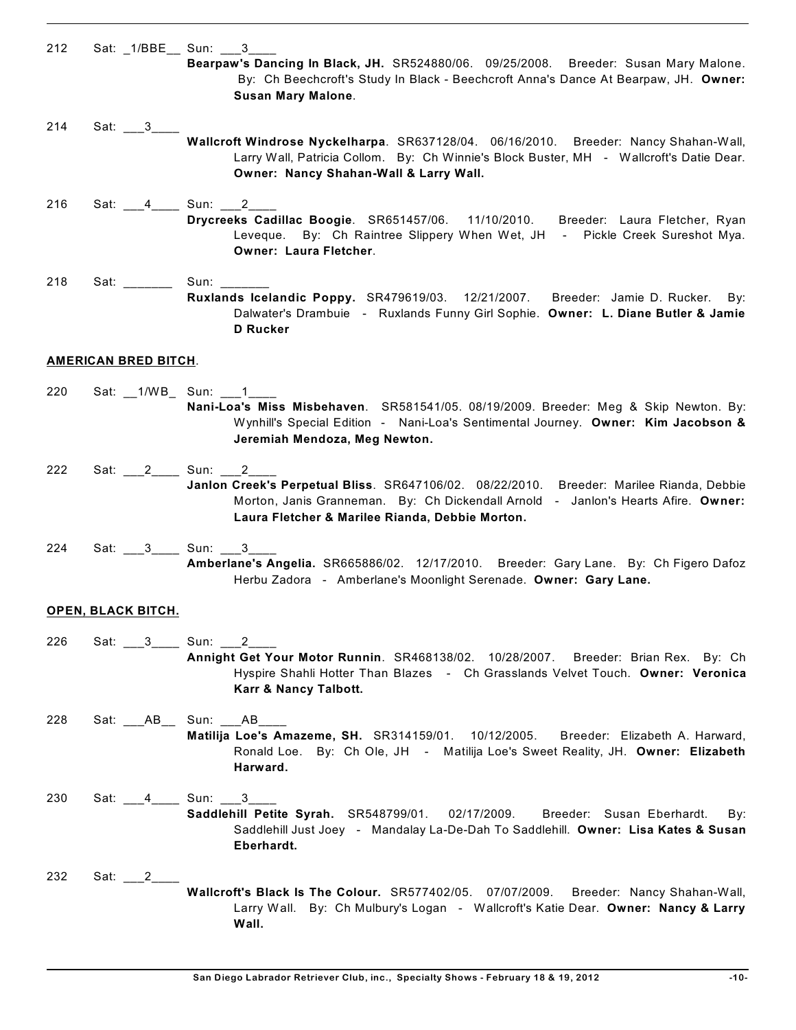| 212 |                                | Sat: 1/BBE Sun: 3                                                                                                                                                                                                                |
|-----|--------------------------------|----------------------------------------------------------------------------------------------------------------------------------------------------------------------------------------------------------------------------------|
|     |                                | Bearpaw's Dancing In Black, JH. SR524880/06. 09/25/2008. Breeder: Susan Mary Malone.<br>By: Ch Beechcroft's Study In Black - Beechcroft Anna's Dance At Bearpaw, JH. Owner:<br><b>Susan Mary Malone.</b>                         |
|     |                                |                                                                                                                                                                                                                                  |
| 214 | Sat: $3_$                      | Wallcroft Windrose Nyckelharpa. SR637128/04. 06/16/2010. Breeder: Nancy Shahan-Wall,<br>Larry Wall, Patricia Collom. By: Ch Winnie's Block Buster, MH - Wallcroft's Datie Dear.<br>Owner: Nancy Shahan-Wall & Larry Wall.        |
| 216 |                                | Sat: 4______ Sun: 2____                                                                                                                                                                                                          |
|     |                                | Drycreeks Cadillac Boogie. SR651457/06. 11/10/2010. Breeder: Laura Fletcher, Ryan<br>Leveque. By: Ch Raintree Slippery When Wet, JH - Pickle Creek Sureshot Mya.<br>Owner: Laura Fletcher.                                       |
| 218 | Sat: ___________ Sun: ________ |                                                                                                                                                                                                                                  |
|     |                                | Ruxlands Icelandic Poppy. SR479619/03. 12/21/2007. Breeder: Jamie D. Rucker. By:<br>Dalwater's Drambuie - Ruxlands Funny Girl Sophie. Owner: L. Diane Butler & Jamie<br><b>D</b> Rucker                                          |
|     | <b>AMERICAN BRED BITCH.</b>    |                                                                                                                                                                                                                                  |
|     |                                |                                                                                                                                                                                                                                  |
| 220 |                                | Nani-Loa's Miss Misbehaven. SR581541/05. 08/19/2009. Breeder: Meg & Skip Newton. By:<br>Wynhill's Special Edition - Nani-Loa's Sentimental Journey. Owner: Kim Jacobson &<br>Jeremiah Mendoza, Meg Newton.                       |
| 222 |                                |                                                                                                                                                                                                                                  |
|     |                                | Janlon Creek's Perpetual Bliss. SR647106/02. 08/22/2010. Breeder: Marilee Rianda, Debbie<br>Morton, Janis Granneman. By: Ch Dickendall Arnold - Janlon's Hearts Afire. Owner:<br>Laura Fletcher & Marilee Rianda, Debbie Morton. |
| 224 |                                | Sat: 3 Sun: 3                                                                                                                                                                                                                    |
|     |                                | Amberlane's Angelia. SR665886/02. 12/17/2010. Breeder: Gary Lane. By: Ch Figero Dafoz<br>Herbu Zadora - Amberlane's Moonlight Serenade. Owner: Gary Lane.                                                                        |
|     | OPEN, BLACK BITCH.             |                                                                                                                                                                                                                                  |
|     |                                |                                                                                                                                                                                                                                  |
| 226 | Sat: 3 Sun: 2                  | Annight Get Your Motor Runnin. SR468138/02. 10/28/2007. Breeder: Brian Rex. By: Ch<br>Hyspire Shahli Hotter Than Blazes - Ch Grasslands Velvet Touch. Owner: Veronica<br>Karr & Nancy Talbott.                                   |
| 228 |                                | Sat: ___AB__ Sun: ___AB____<br>Matilija Loe's Amazeme, SH. SR314159/01. 10/12/2005. Breeder: Elizabeth A. Harward,<br>Ronald Loe. By: Ch Ole, JH - Matilija Loe's Sweet Reality, JH. Owner: Elizabeth<br>Harward.                |
| 230 | Sat: 4 Sun: 3                  | Saddlehill Petite Syrah. SR548799/01. 02/17/2009. Breeder: Susan Eberhardt.<br>By:<br>Saddlehill Just Joey - Mandalay La-De-Dah To Saddlehill. Owner: Lisa Kates & Susan<br>Eberhardt.                                           |
| 232 | Sat: $2$                       | Wallcroft's Black Is The Colour. SR577402/05. 07/07/2009. Breeder: Nancy Shahan-Wall,<br>Larry Wall. By: Ch Mulbury's Logan - Wallcroft's Katie Dear. Owner: Nancy & Larry<br>Wall.                                              |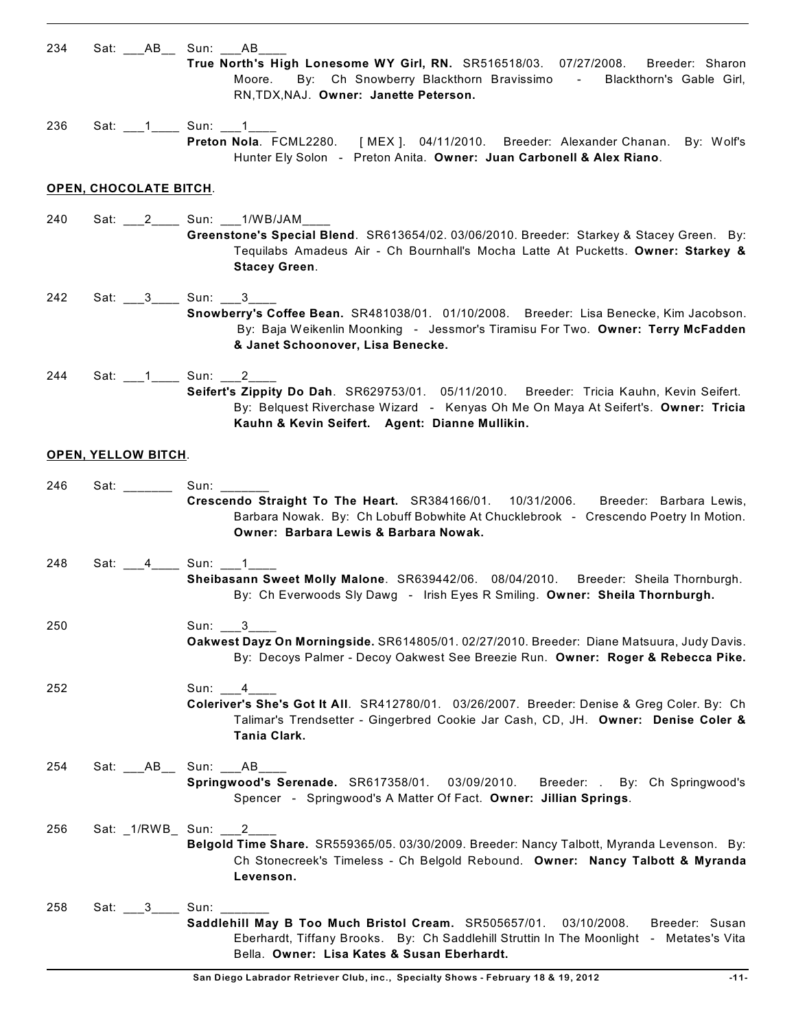| 234 | Sat: _____ AB_____ Sun: _____ AB_ | True North's High Lonesome WY Girl, RN. SR516518/03. 07/27/2008. Breeder: Sharon<br>By: Ch Snowberry Blackthorn Bravissimo -<br>Blackthorn's Gable Girl,<br>Moore.<br>RN, TDX, NAJ. Owner: Janette Peterson.                              |
|-----|-----------------------------------|-------------------------------------------------------------------------------------------------------------------------------------------------------------------------------------------------------------------------------------------|
| 236 |                                   | Preton Nola. FCML2280. [MEX]. 04/11/2010. Breeder: Alexander Chanan. By: Wolf's<br>Hunter Ely Solon - Preton Anita. Owner: Juan Carbonell & Alex Riano.                                                                                   |
|     | <b>OPEN, CHOCOLATE BITCH.</b>     |                                                                                                                                                                                                                                           |
| 240 |                                   | Sat: 2_______ Sun: ____1/WB/JAM_<br>Greenstone's Special Blend. SR613654/02. 03/06/2010. Breeder: Starkey & Stacey Green. By:<br>Tequilabs Amadeus Air - Ch Bournhall's Mocha Latte At Pucketts. Owner: Starkey &<br><b>Stacey Green.</b> |
| 242 | Sat: ___3____ Sun: ___3_          | Snowberry's Coffee Bean. SR481038/01. 01/10/2008. Breeder: Lisa Benecke, Kim Jacobson.<br>By: Baja Weikenlin Moonking - Jessmor's Tiramisu For Two. Owner: Terry McFadden<br>& Janet Schoonover, Lisa Benecke.                            |
| 244 | Sat: 1_______ Sun: 1________2____ | Seifert's Zippity Do Dah. SR629753/01. 05/11/2010. Breeder: Tricia Kauhn, Kevin Seifert.<br>By: Belquest Riverchase Wizard - Kenyas Oh Me On Maya At Seifert's. Owner: Tricia<br>Kauhn & Kevin Seifert. Agent: Dianne Mullikin.           |
|     | <b>OPEN, YELLOW BITCH.</b>        |                                                                                                                                                                                                                                           |
| 246 | Sat: _________ Sun: ____          | Crescendo Straight To The Heart. SR384166/01. 10/31/2006. Breeder: Barbara Lewis,<br>Barbara Nowak. By: Ch Lobuff Bobwhite At Chucklebrook - Crescendo Poetry In Motion.<br>Owner: Barbara Lewis & Barbara Nowak.                         |
| 248 | Sat: ___4_____ Sun: ___1_         | Sheibasann Sweet Molly Malone. SR639442/06. 08/04/2010. Breeder: Sheila Thornburgh.<br>By: Ch Everwoods Sly Dawg - Irish Eyes R Smiling. Owner: Sheila Thornburgh.                                                                        |
| 250 |                                   | Sun: $3_$<br>Oakwest Dayz On Morningside. SR614805/01. 02/27/2010. Breeder: Diane Matsuura, Judy Davis.<br>By: Decoys Palmer - Decoy Oakwest See Breezie Run. Owner: Roger & Rebecca Pike.                                                |
| 252 |                                   | Sun:<br>4<br>Coleriver's She's Got It All. SR412780/01. 03/26/2007. Breeder: Denise & Greg Coler. By: Ch<br>Talimar's Trendsetter - Gingerbred Cookie Jar Cash, CD, JH. Owner: Denise Coler &<br>Tania Clark.                             |
| 254 | $Sat: _ABD_$                      | Sun: ___AB____<br>Springwood's Serenade. SR617358/01. 03/09/2010.<br>Breeder: . By: Ch Springwood's<br>Spencer - Springwood's A Matter Of Fact. Owner: Jillian Springs.                                                                   |
| 256 | Sat: _1/RWB_ Sun: ___2_           | Belgold Time Share. SR559365/05. 03/30/2009. Breeder: Nancy Talbott, Myranda Levenson. By:<br>Ch Stonecreek's Timeless - Ch Belgold Rebound. Owner: Nancy Talbott & Myranda<br>Levenson.                                                  |
| 258 | Sat: $3$                          | Sun:<br>Saddlehill May B Too Much Bristol Cream. SR505657/01. 03/10/2008.<br>Breeder: Susan<br>Eberhardt, Tiffany Brooks. By: Ch Saddlehill Struttin In The Moonlight - Metates's Vita<br>Bella. Owner: Lisa Kates & Susan Eberhardt.     |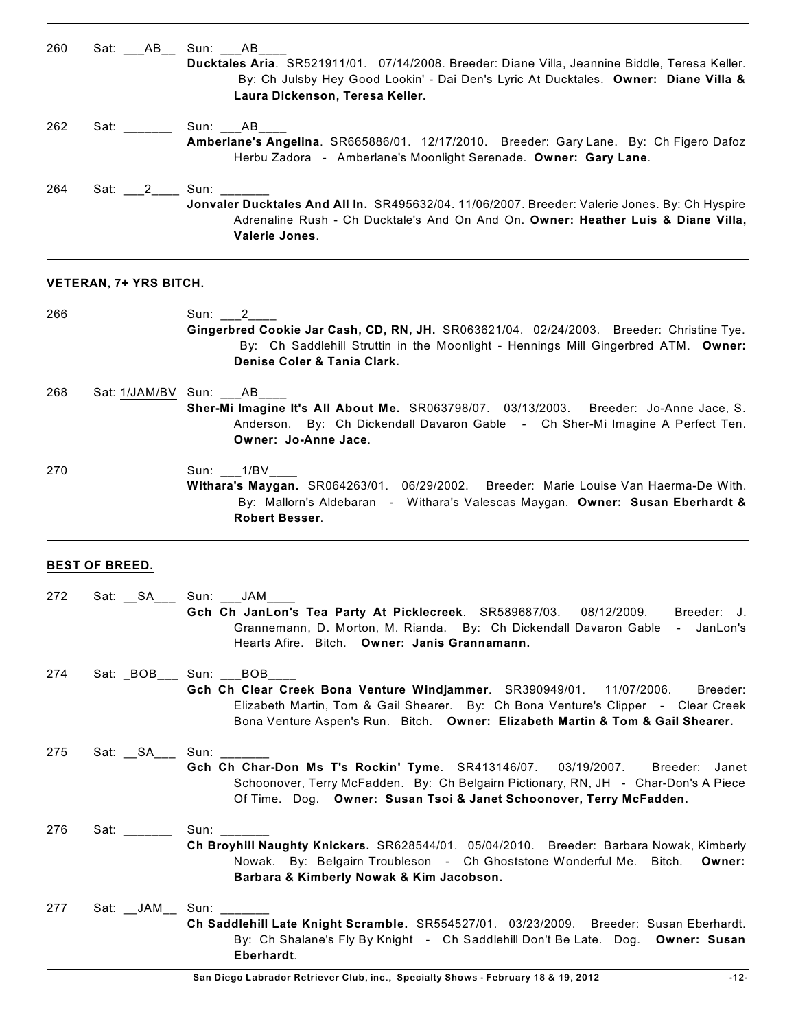| 260 | Sat: AB Sun: AB<br>Ducktales Aria. SR521911/01. 07/14/2008. Breeder: Diane Villa, Jeannine Biddle, Teresa Keller.<br>By: Ch Julsby Hey Good Lookin' - Dai Den's Lyric At Ducktales. Owner: Diane Villa &<br>Laura Dickenson, Teresa Keller. |
|-----|---------------------------------------------------------------------------------------------------------------------------------------------------------------------------------------------------------------------------------------------|
| 262 | Sat: Sun: AB<br>Amberlane's Angelina. SR665886/01. 12/17/2010. Breeder: Gary Lane. By: Ch Figero Dafoz<br>Herbu Zadora - Amberlane's Moonlight Serenade. Owner: Gary Lane.                                                                  |
| 264 | Jonvaler Ducktales And All In. SR495632/04. 11/06/2007. Breeder: Valerie Jones. By: Ch Hyspire<br>Adrenaline Rush - Ch Ducktale's And On And On. Owner: Heather Luis & Diane Villa,<br>Valerie Jones.                                       |

#### **VETERAN, 7+ YRS BITCH.**

266 Sun: \_\_\_2\_\_\_\_ **Gingerbred Cookie Jar Cash, CD, RN, JH.** SR063621/04. 02/24/2003. Breeder: Christine Tye. By: Ch Saddlehill Struttin in the Moonlight - Hennings Mill Gingerbred ATM. **Owner: Denise Coler & Tania Clark.**

268 Sat:  $1/JAM/BV$  Sun: \_\_\_AB\_ **Sher-Mi Imagine It's All About Me.** SR063798/07. 03/13/2003. Breeder: Jo-Anne Jace, S. Anderson. By: Ch Dickendall Davaron Gable - Ch Sher-Mi Imagine A Perfect Ten. **Owner: Jo-Anne Jace**.

270 Sun: \_\_\_1/BV\_\_\_ **Withara's Maygan.** SR064263/01. 06/29/2002. Breeder: Marie Louise Van Haerma-De With. By: Mallorn's Aldebaran - Withara's Valescas Maygan. **Owner: Susan Eberhardt & Robert Besser**.

# **BEST OF BREED.**

| 272 |                          | Sat: SA Sun: JAM<br>Gch Ch JanLon's Tea Party At Picklecreek. SR589687/03. 08/12/2009. Breeder: J.<br>Grannemann, D. Morton, M. Rianda. By: Ch Dickendall Davaron Gable - JanLon's<br>Hearts Afire. Bitch. Owner: Janis Grannamann.                                                   |
|-----|--------------------------|---------------------------------------------------------------------------------------------------------------------------------------------------------------------------------------------------------------------------------------------------------------------------------------|
| 274 |                          | Sat: BOB __ Sun: __BOB ___<br>Gch Ch Clear Creek Bona Venture Windjammer. SR390949/01. 11/07/2006.<br>Breeder:<br>Elizabeth Martin, Tom & Gail Shearer. By: Ch Bona Venture's Clipper - Clear Creek<br>Bona Venture Aspen's Run. Bitch. Owner: Elizabeth Martin & Tom & Gail Shearer. |
| 275 | Sat: __SA___ Sun: ______ | Gch Ch Char-Don Ms T's Rockin' Tyme. SR413146/07. 03/19/2007. Breeder: Janet<br>Schoonover, Terry McFadden. By: Ch Belgairn Pictionary, RN, JH - Char-Don's A Piece<br>Of Time. Dog. Owner: Susan Tsoi & Janet Schoonover, Terry McFadden.                                            |
| 276 | Sat: _______             | Sun:<br>Ch Broyhill Naughty Knickers. SR628544/01. 05/04/2010. Breeder: Barbara Nowak, Kimberly<br>Nowak. By: Belgairn Troubleson - Ch Ghoststone Wonderful Me. Bitch.<br>Owner:<br>Barbara & Kimberly Nowak & Kim Jacobson.                                                          |
| 277 | Sat: __JAM__ Sun: _____  | Ch Saddlehill Late Knight Scramble. SR554527/01. 03/23/2009. Breeder: Susan Eberhardt.<br>By: Ch Shalane's Fly By Knight - Ch Saddlehill Don't Be Late. Dog. Owner: Susan<br>Eberhardt.                                                                                               |